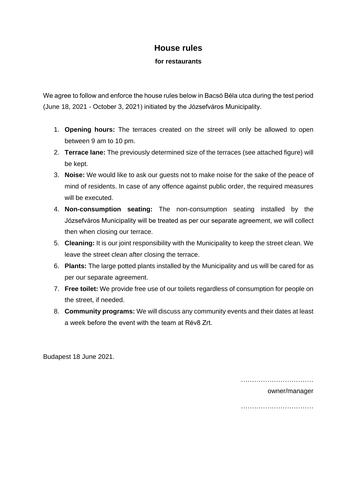## **House rules**

**for restaurants**

We agree to follow and enforce the house rules below in Bacsó Béla utca during the test period (June 18, 2021 - October 3, 2021) initiated by the Józsefváros Municipality.

- 1. **Opening hours:** The terraces created on the street will only be allowed to open between 9 am to 10 pm.
- 2. **Terrace lane:** The previously determined size of the terraces (see attached figure) will be kept.
- 3. **Noise:** We would like to ask our guests not to make noise for the sake of the peace of mind of residents. In case of any offence against public order, the required measures will be executed.
- 4. **Non-consumption seating:** The non-consumption seating installed by the Józsefváros Municipality will be treated as per our separate agreement, we will collect then when closing our terrace.
- 5. **Cleaning:** It is our joint responsibility with the Municipality to keep the street clean. We leave the street clean after closing the terrace.
- 6. **Plants:** The large potted plants installed by the Municipality and us will be cared for as per our separate agreement.
- 7. **Free toilet:** We provide free use of our toilets regardless of consumption for people on the street, if needed.
- 8. **Community programs:** We will discuss any community events and their dates at least a week before the event with the team at Rév8 Zrt.

Budapest 18 June 2021.

…………………………………………

owner/manager

……………………………………………